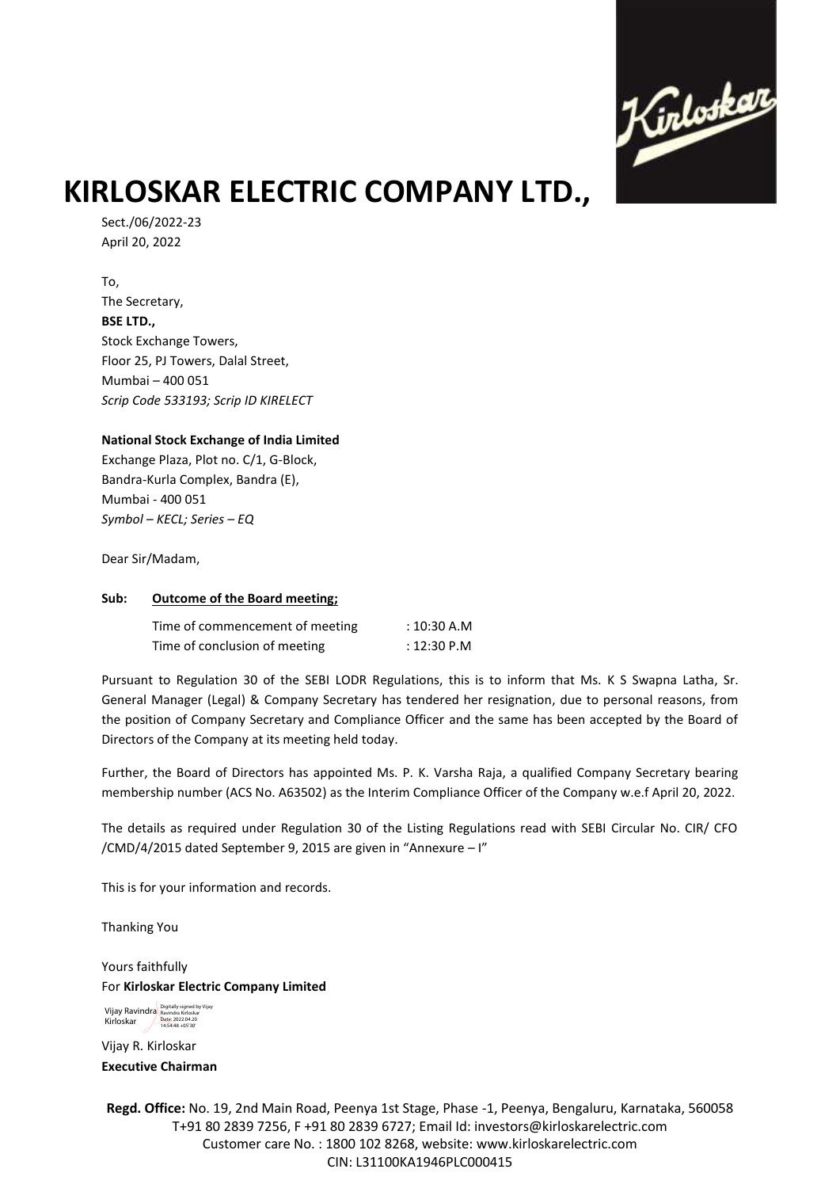

# **KIRLOSKAR ELECTRIC COMPANY LTD.,**

Sect./06/2022-23 April 20, 2022

To, The Secretary, **BSE LTD.,** Stock Exchange Towers, Floor 25, PJ Towers, Dalal Street, Mumbai – 400 051 *Scrip Code 533193; Scrip ID KIRELECT*

### **National Stock Exchange of India Limited**

Exchange Plaza, Plot no. C/1, G-Block, Bandra-Kurla Complex, Bandra (E), Mumbai - 400 051 *Symbol – KECL; Series – EQ*

Dear Sir/Madam,

#### **Sub: Outcome of the Board meeting;**

| Time of commencement of meeting | : 10:30 A.M |
|---------------------------------|-------------|
| Time of conclusion of meeting   | : 12:30 P.M |

Pursuant to Regulation 30 of the SEBI LODR Regulations, this is to inform that Ms. K S Swapna Latha, Sr. General Manager (Legal) & Company Secretary has tendered her resignation, due to personal reasons, from the position of Company Secretary and Compliance Officer and the same has been accepted by the Board of Directors of the Company at its meeting held today.

Further, the Board of Directors has appointed Ms. P. K. Varsha Raja, a qualified Company Secretary bearing membership number (ACS No. A63502) as the Interim Compliance Officer of the Company w.e.f April 20, 2022.

The details as required under Regulation 30 of the Listing Regulations read with SEBI Circular No. CIR/ CFO /CMD/4/2015 dated September 9, 2015 are given in "Annexure – I"

This is for your information and records.

Thanking You

Yours faithfully For **Kirloskar Electric Company Limited**

Vijay Ravindra Bigitally signed by Vijay Kirloskar Date: 2022.04.20 14:54:48 +05'30'

Vijay R. Kirloskar **Executive Chairman**

**Regd. Office:** No. 19, 2nd Main Road, Peenya 1st Stage, Phase -1, Peenya, Bengaluru, Karnataka, 560058 T+91 80 2839 7256, F +91 80 2839 6727; Email Id: investors@kirloskarelectric.com Customer care No. : 1800 102 8268, website: www.kirloskarelectric.com CIN: L31100KA1946PLC000415